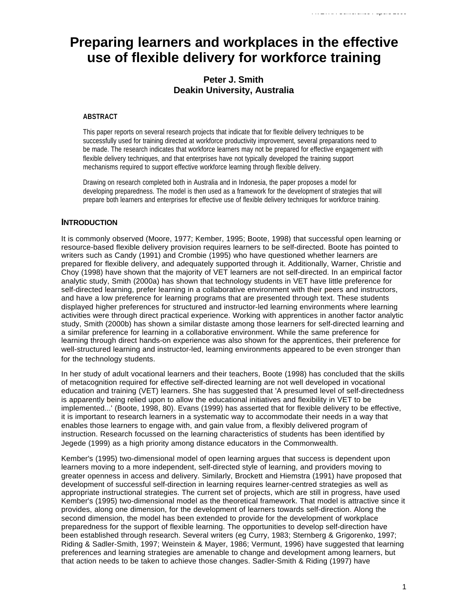# **Preparing learners and workplaces in the effective use of flexible delivery for workforce training**

# **Peter J. Smith Deakin University, Australia**

#### **ABSTRACT**

This paper reports on several research projects that indicate that for flexible delivery techniques to be successfully used for training directed at workforce productivity improvement, several preparations need to be made. The research indicates that workforce learners may not be prepared for effective engagement with flexible delivery techniques, and that enterprises have not typically developed the training support mechanisms required to support effective workforce learning through flexible delivery.

Drawing on research completed both in Australia and in Indonesia, the paper proposes a model for developing preparedness. The model is then used as a framework for the development of strategies that will prepare both learners and enterprises for effective use of flexible delivery techniques for workforce training.

### **INTRODUCTION**

It is commonly observed (Moore, 1977; Kember, 1995; Boote, 1998) that successful open learning or resource-based flexible delivery provision requires learners to be self-directed. Boote has pointed to writers such as Candy (1991) and Crombie (1995) who have questioned whether learners are prepared for flexible delivery, and adequately supported through it. Additionally, Warner, Christie and Choy (1998) have shown that the majority of VET learners are not self-directed. In an empirical factor analytic study, Smith (2000a) has shown that technology students in VET have little preference for self-directed learning, prefer learning in a collaborative environment with their peers and instructors, and have a low preference for learning programs that are presented through text. These students displayed higher preferences for structured and instructor-led learning environments where learning activities were through direct practical experience. Working with apprentices in another factor analytic study, Smith (2000b) has shown a similar distaste among those learners for self-directed learning and a similar preference for learning in a collaborative environment. While the same preference for learning through direct hands-on experience was also shown for the apprentices, their preference for well-structured learning and instructor-led, learning environments appeared to be even stronger than for the technology students.

In her study of adult vocational learners and their teachers, Boote (1998) has concluded that the skills of metacognition required for effective self-directed learning are not well developed in vocational education and training (VET) learners. She has suggested that 'A presumed level of self-directedness is apparently being relied upon to allow the educational initiatives and flexibility in VET to be implemented...' (Boote, 1998, 80). Evans (1999) has asserted that for flexible delivery to be effective, it is important to research learners in a systematic way to accommodate their needs in a way that enables those learners to engage with, and gain value from, a flexibly delivered program of instruction. Research focussed on the learning characteristics of students has been identified by Jegede (1999) as a high priority among distance educators in the Commonwealth.

Kember's (1995) two-dimensional model of open learning argues that success is dependent upon learners moving to a more independent, self-directed style of learning, and providers moving to greater openness in access and delivery. Similarly, Brockett and Hiemstra (1991) have proposed that development of successful self-direction in learning requires learner-centred strategies as well as appropriate instructional strategies. The current set of projects, which are still in progress, have used Kember's (1995) two-dimensional model as the theoretical framework. That model is attractive since it provides, along one dimension, for the development of learners towards self-direction. Along the second dimension, the model has been extended to provide for the development of workplace preparedness for the support of flexible learning. The opportunities to develop self-direction have been established through research. Several writers (eg Curry, 1983; Sternberg & Grigorenko, 1997; Riding & Sadler-Smith, 1997; Weinstein & Mayer, 1986; Vermunt, 1996) have suggested that learning preferences and learning strategies are amenable to change and development among learners, but that action needs to be taken to achieve those changes. Sadler-Smith & Riding (1997) have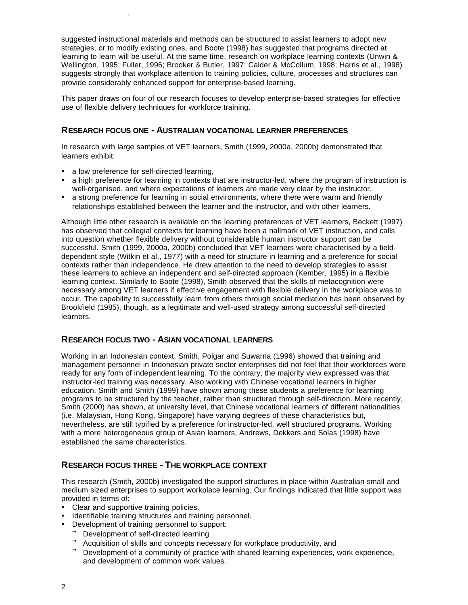suggested instructional materials and methods can be structured to assist learners to adopt new strategies, or to modify existing ones, and Boote (1998) has suggested that programs directed at learning to learn will be useful. At the same time, research on workplace learning contexts (Unwin & Wellington, 1995; Fuller, 1996; Brooker & Butler, 1997; Calder & McCollum, 1998; Harris et al., 1998) suggests strongly that workplace attention to training policies, culture, processes and structures can provide considerably enhanced support for enterprise-based learning.

This paper draws on four of our research focuses to develop enterprise-based strategies for effective use of flexible delivery techniques for workforce training.

### **RESEARCH FOCUS ONE - AUSTRALIAN VOCATIONAL LEARNER PREFERENCES**

In research with large samples of VET learners, Smith (1999, 2000a, 2000b) demonstrated that learners exhibit:

- a low preference for self-directed learning.
- ü a high preference for learning in contexts that are instructor-led, where the program of instruction is well-organised, and where expectations of learners are made very clear by the instructor,
- a strong preference for learning in social environments, where there were warm and friendly relationships established between the learner and the instructor, and with other learners.

Although little other research is available on the learning preferences of VET learners, Beckett (1997) has observed that collegial contexts for learning have been a hallmark of VET instruction, and calls into question whether flexible delivery without considerable human instructor support can be successful. Smith (1999, 2000a, 2000b) concluded that VET learners were characterised by a fielddependent style (Witkin et al., 1977) with a need for structure in learning and a preference for social contexts rather than independence. He drew attention to the need to develop strategies to assist these learners to achieve an independent and self-directed approach (Kember, 1995) in a flexible learning context. Similarly to Boote (1998), Smith observed that the skills of metacognition were necessary among VET learners if effective engagement with flexible delivery in the workplace was to occur. The capability to successfully learn from others through social mediation has been observed by Brookfield (1985), though, as a legitimate and well-used strategy among successful self-directed learners.

### **RESEARCH FOCUS TWO - ASIAN VOCATIONAL LEARNERS**

Working in an Indonesian context, Smith, Polgar and Suwarna (1996) showed that training and management personnel in Indonesian private sector enterprises did not feel that their workforces were ready for any form of independent learning. To the contrary, the majority view expressed was that instructor-led training was necessary. Also working with Chinese vocational learners in higher education, Smith and Smith (1999) have shown among these students a preference for learning programs to be structured by the teacher, rather than structured through self-direction. More recently, Smith (2000) has shown, at university level, that Chinese vocational learners of different nationalities (i.e. Malaysian, Hong Kong, Singapore) have varying degrees of these characteristics but, nevertheless, are still typified by a preference for instructor-led, well structured programs. Working with a more heterogeneous group of Asian learners, Andrews, Dekkers and Solas (1998) have established the same characteristics.

# **RESEARCH FOCUS THREE - THE WORKPLACE CONTEXT**

This research (Smith, 2000b) investigated the support structures in place within Australian small and medium sized enterprises to support workplace learning. Our findings indicated that little support was provided in terms of:

- Clear and supportive training policies.
- Identifiable training structures and training personnel.
- Development of training personnel to support:
	- $\rightarrow$  Development of self-directed learning
	- $\rightarrow$  Acquisition of skills and concepts necessary for workplace productivity, and
	- Development of a community of practice with shared learning experiences, work experience, and development of common work values.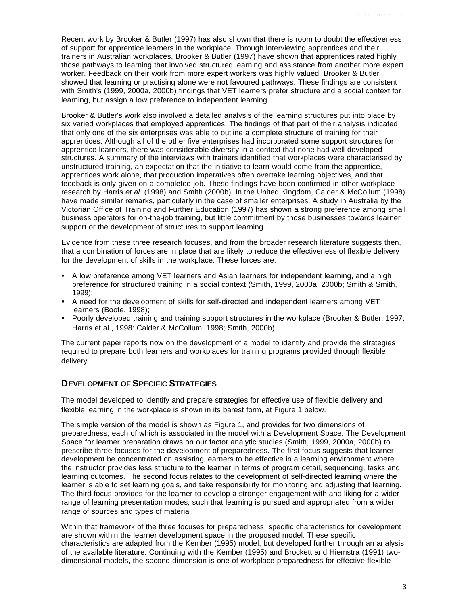Recent work by Brooker & Butler (1997) has also shown that there is room to doubt the effectiveness of support for apprentice learners in the workplace. Through interviewing apprentices and their trainers in Australian workplaces, Brooker & Butler (1997) have shown that apprentices rated highly those pathways to learning that involved structured learning and assistance from another more expert worker. Feedback on their work from more expert workers was highly valued. Brooker & Butler showed that learning or practising alone were not favoured pathways. These findings are consistent with Smith's (1999, 2000a, 2000b) findings that VET learners prefer structure and a social context for learning, but assign a low preference to independent learning.

Brooker & Butler's work also involved a detailed analysis of the learning structures put into place by six varied workplaces that employed apprentices. The findings of that part of their analysis indicated that only one of the six enterprises was able to outline a complete structure of training for their apprentices. Although all of the other five enterprises had incorporated some support structures for apprentice learners, there was considerable diversity in a context that none had well-developed structures. A summary of the interviews with trainers identified that workplaces were characterised by unstructured training, an expectation that the initiative to learn would come from the apprentice, apprentices work alone, that production imperatives often overtake learning objectives, and that feedback is only given on a completed job. These findings have been confirmed in other workplace research by Harris *et al*. (1998) and Smith (2000b). In the United Kingdom, Calder & McCollum (1998) have made similar remarks, particularly in the case of smaller enterprises. A study in Australia by the Victorian Office of Training and Further Education (1997) has shown a strong preference among small business operators for on-the-job training, but little commitment by those businesses towards learner support or the development of structures to support learning.

Evidence from these three research focuses, and from the broader research literature suggests then, that a combination of forces are in place that are likely to reduce the effectiveness of flexible delivery for the development of skills in the workplace. These forces are:

- A low preference among VET learners and Asian learners for independent learning, and a high preference for structured training in a social context (Smith, 1999, 2000a, 2000b; Smith & Smith, 1999);
- A need for the development of skills for self-directed and independent learners among VET learners (Boote, 1998);
- Poorly developed training and training support structures in the workplace (Brooker & Butler, 1997; Harris et al., 1998: Calder & McCollum, 1998; Smith, 2000b).

The current paper reports now on the development of a model to identify and provide the strategies required to prepare both learners and workplaces for training programs provided through flexible delivery.

#### **DEVELOPMENT OF SPECIFIC STRATEGIES**

The model developed to identify and prepare strategies for effective use of flexible delivery and flexible learning in the workplace is shown in its barest form, at Figure 1 below.

The simple version of the model is shown as Figure 1, and provides for two dimensions of preparedness, each of which is associated in the model with a Development Space. The Development Space for learner preparation draws on our factor analytic studies (Smith, 1999, 2000a, 2000b) to prescribe three focuses for the development of preparedness. The first focus suggests that learner development be concentrated on assisting learners to be effective in a learning environment where the instructor provides less structure to the learner in terms of program detail, sequencing, tasks and learning outcomes. The second focus relates to the development of self-directed learning where the learner is able to set learning goals, and take responsibility for monitoring and adjusting that learning. The third focus provides for the learner to develop a stronger engagement with and liking for a wider range of learning presentation modes, such that learning is pursued and appropriated from a wider range of sources and types of material.

Within that framework of the three focuses for preparedness, specific characteristics for development are shown within the learner development space in the proposed model. These specific characteristics are adapted from the Kember (1995) model, but developed further through an analysis of the available literature. Continuing with the Kember (1995) and Brockett and Hiemstra (1991) twodimensional models, the second dimension is one of workplace preparedness for effective flexible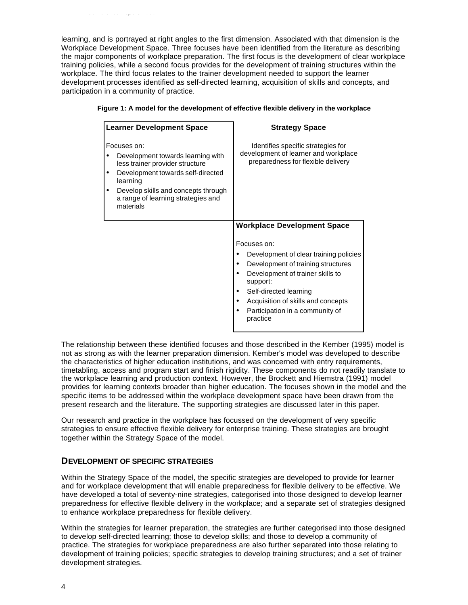learning, and is portrayed at right angles to the first dimension. Associated with that dimension is the Workplace Development Space. Three focuses have been identified from the literature as describing the major components of workplace preparation. The first focus is the development of clear workplace training policies, while a second focus provides for the development of training structures within the workplace. The third focus relates to the trainer development needed to support the learner development processes identified as self-directed learning, acquisition of skills and concepts, and participation in a community of practice.

| <b>Learner Development Space</b>                                                                                                                                                                                               | <b>Strategy Space</b>                                                                                                                                                                                                                                                                            |
|--------------------------------------------------------------------------------------------------------------------------------------------------------------------------------------------------------------------------------|--------------------------------------------------------------------------------------------------------------------------------------------------------------------------------------------------------------------------------------------------------------------------------------------------|
| Focuses on:<br>Development towards learning with<br>less trainer provider structure<br>Development towards self-directed<br>learning<br>Develop skills and concepts through<br>a range of learning strategies and<br>materials | Identifies specific strategies for<br>development of learner and workplace<br>preparedness for flexible delivery                                                                                                                                                                                 |
|                                                                                                                                                                                                                                | <b>Workplace Development Space</b><br>Focuses on:<br>Development of clear training policies<br>Development of training structures<br>Development of trainer skills to<br>support:<br>Self-directed learning<br>Acquisition of skills and concepts<br>Participation in a community of<br>practice |

|  |  |  | Figure 1: A model for the development of effective flexible delivery in the workplace |  |  |
|--|--|--|---------------------------------------------------------------------------------------|--|--|
|--|--|--|---------------------------------------------------------------------------------------|--|--|

The relationship between these identified focuses and those described in the Kember (1995) model is not as strong as with the learner preparation dimension. Kember's model was developed to describe the characteristics of higher education institutions, and was concerned with entry requirements, timetabling, access and program start and finish rigidity. These components do not readily translate to the workplace learning and production context. However, the Brockett and Hiemstra (1991) model provides for learning contexts broader than higher education. The focuses shown in the model and the specific items to be addressed within the workplace development space have been drawn from the present research and the literature. The supporting strategies are discussed later in this paper.

Our research and practice in the workplace has focussed on the development of very specific strategies to ensure effective flexible delivery for enterprise training. These strategies are brought together within the Strategy Space of the model.

# **DEVELOPMENT OF SPECIFIC STRATEGIES**

*AVETRA Conference Papers 2000*

Within the Strategy Space of the model, the specific strategies are developed to provide for learner and for workplace development that will enable preparedness for flexible delivery to be effective. We have developed a total of seventy-nine strategies, categorised into those designed to develop learner preparedness for effective flexible delivery in the workplace; and a separate set of strategies designed to enhance workplace preparedness for flexible delivery.

Within the strategies for learner preparation, the strategies are further categorised into those designed to develop self-directed learning; those to develop skills; and those to develop a community of practice. The strategies for workplace preparedness are also further separated into those relating to development of training policies; specific strategies to develop training structures; and a set of trainer development strategies.